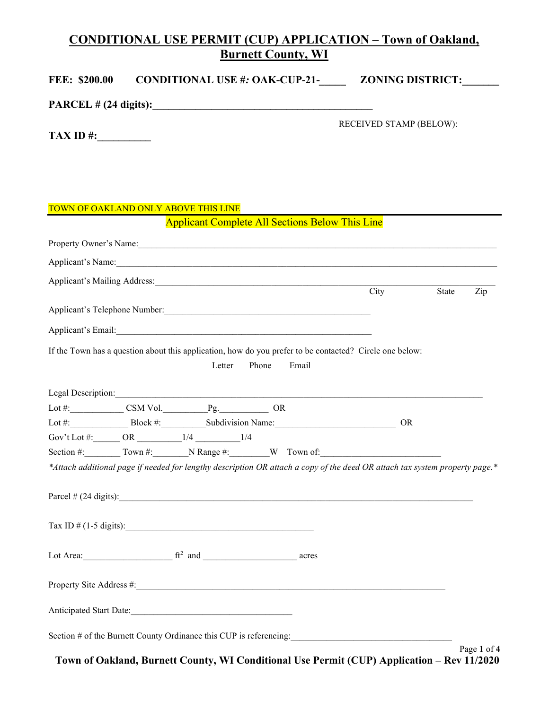## CONDITIONAL USE PERMIT (CUP) APPLICATION – Town of Oakland, Burnett County, WI

| <b>FEE: \$200.00</b>                                                                                          |                                                        |       | CONDITIONAL USE #: OAK-CUP-21-___________ ZONING DISTRICT:_______                                                            |       |     |
|---------------------------------------------------------------------------------------------------------------|--------------------------------------------------------|-------|------------------------------------------------------------------------------------------------------------------------------|-------|-----|
|                                                                                                               |                                                        |       |                                                                                                                              |       |     |
|                                                                                                               |                                                        |       | RECEIVED STAMP (BELOW):                                                                                                      |       |     |
| TOWN OF OAKLAND ONLY ABOVE THIS LINE                                                                          |                                                        |       |                                                                                                                              |       |     |
|                                                                                                               | <b>Applicant Complete All Sections Below This Line</b> |       |                                                                                                                              |       |     |
|                                                                                                               |                                                        |       |                                                                                                                              |       |     |
|                                                                                                               |                                                        |       | Applicant's Name:                                                                                                            |       |     |
| Applicant's Mailing Address: 1998 - 1999 - 1999 - 1999 - 1999 - 1999 - 1999 - 1999 - 1999 - 1999 - 1999 - 199 |                                                        |       |                                                                                                                              |       |     |
|                                                                                                               |                                                        |       | City                                                                                                                         | State | Zip |
|                                                                                                               |                                                        |       |                                                                                                                              |       |     |
|                                                                                                               |                                                        |       |                                                                                                                              |       |     |
|                                                                                                               |                                                        |       | If the Town has a question about this application, how do you prefer to be contacted? Circle one below:                      |       |     |
|                                                                                                               | Letter<br>Phone                                        | Email |                                                                                                                              |       |     |
|                                                                                                               |                                                        |       |                                                                                                                              |       |     |
| Legal Description:                                                                                            |                                                        |       |                                                                                                                              |       |     |
| Lot #: CSM Vol. Pg. OR                                                                                        |                                                        |       |                                                                                                                              |       |     |
| Lot #: Block #: Subdivision Name:                                                                             |                                                        |       | <b>OR</b>                                                                                                                    |       |     |
|                                                                                                               |                                                        |       | Section #: $\qquad \qquad \text{ Town } \#: \qquad \qquad \text{N Range } \#: \qquad \qquad \text{W} \quad \text{ Town of:}$ |       |     |
|                                                                                                               |                                                        |       | *Attach additional page if needed for lengthy description OR attach a copy of the deed OR attach tax system property page.*  |       |     |
|                                                                                                               |                                                        |       |                                                                                                                              |       |     |
|                                                                                                               |                                                        |       | Parcel $\#$ (24 digits):                                                                                                     |       |     |
|                                                                                                               |                                                        |       |                                                                                                                              |       |     |
|                                                                                                               |                                                        |       |                                                                                                                              |       |     |
|                                                                                                               |                                                        |       |                                                                                                                              |       |     |
| Lot Area: $f^2$ and $r^2$ and $r^2$ and $r^2$ are acres                                                       |                                                        |       |                                                                                                                              |       |     |
|                                                                                                               |                                                        |       |                                                                                                                              |       |     |
|                                                                                                               |                                                        |       |                                                                                                                              |       |     |
| Section # of the Burnett County Ordinance this CUP is referencing:                                            |                                                        |       |                                                                                                                              |       |     |

Page 1 of 4 Town of Oakland, Burnett County, WI Conditional Use Permit (CUP) Application – Rev 11/2020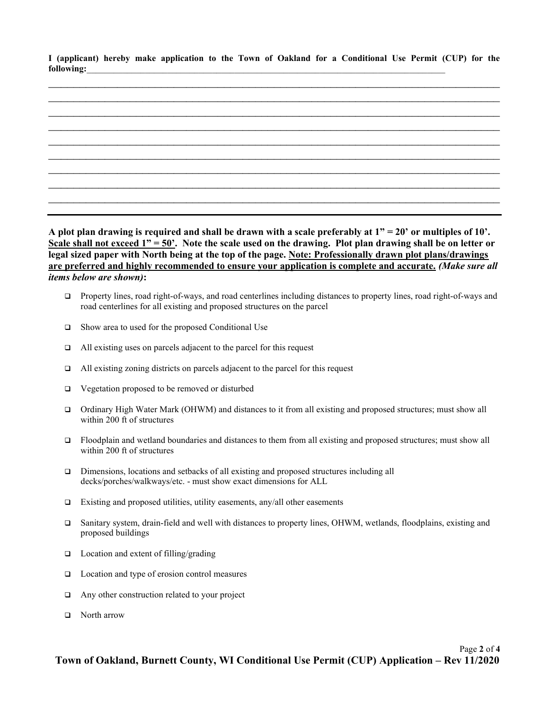I (applicant) hereby make application to the Town of Oakland for a Conditional Use Permit (CUP) for the  $6$ ollowing:



A plot plan drawing is required and shall be drawn with a scale preferably at  $1" = 20'$  or multiples of  $10'$ . Scale shall not exceed  $1" = 50'$ . Note the scale used on the drawing. Plot plan drawing shall be on letter or legal sized paper with North being at the top of the page. Note: Professionally drawn plot plans/drawings are preferred and highly recommended to ensure your application is complete and accurate. (Make sure all items below are shown):

- □ Property lines, road right-of-ways, and road centerlines including distances to property lines, road right-of-ways and road centerlines for all existing and proposed structures on the parcel
- $\Box$  Show area to used for the proposed Conditional Use
- $\Box$  All existing uses on parcels adjacent to the parcel for this request
- $\Box$  All existing zoning districts on parcels adjacent to the parcel for this request
- Vegetation proposed to be removed or disturbed
- Ordinary High Water Mark (OHWM) and distances to it from all existing and proposed structures; must show all within 200 ft of structures
- Floodplain and wetland boundaries and distances to them from all existing and proposed structures; must show all within 200 ft of structures
- Dimensions, locations and setbacks of all existing and proposed structures including all decks/porches/walkways/etc. - must show exact dimensions for ALL
- $\square$  Existing and proposed utilities, utility easements, any/all other easements
- Sanitary system, drain-field and well with distances to property lines, OHWM, wetlands, floodplains, existing and proposed buildings
- $\Box$  Location and extent of filling/grading
- $\Box$  Location and type of erosion control measures
- Any other construction related to your project
- □ North arrow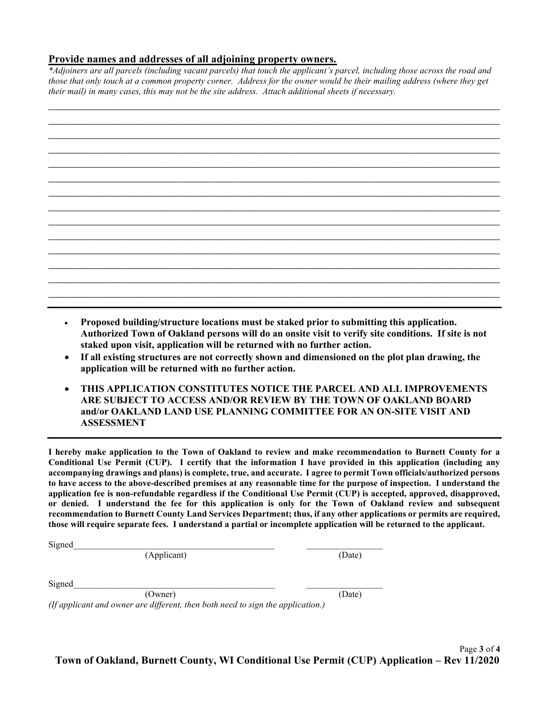## Provide names and addresses of all adjoining property owners.

\*Adjoiners are all parcels (including vacant parcels) that touch the applicant's parcel, including those across the road and those that only touch at a common property corner. Address for the owner would be their mailing address (where they get their mail) in many cases, this may not be the site address. Attach additional sheets if necessary.

- Proposed building/structure locations must be staked prior to submitting this application. Authorized Town of Oakland persons will do an onsite visit to verify site conditions. If site is not staked upon visit, application will be returned with no further action.
- If all existing structures are not correctly shown and dimensioned on the plot plan drawing, the application will be returned with no further action.
- THIS APPLICATION CONSTITUTES NOTICE THE PARCEL AND ALL IMPROVEMENTS ARE SUBJECT TO ACCESS AND/OR REVIEW BY THE TOWN OF OAKLAND BOARD and/or OAKLAND LAND USE PLANNING COMMITTEE FOR AN ON-SITE VISIT AND ASSESSMENT

I hereby make application to the Town of Oakland to review and make recommendation to Burnett County for a Conditional Use Permit (CUP). I certify that the information I have provided in this application (including any accompanying drawings and plans) is complete, true, and accurate. I agree to permit Town officials/authorized persons to have access to the above-described premises at any reasonable time for the purpose of inspection. I understand the application fee is non-refundable regardless if the Conditional Use Permit (CUP) is accepted, approved, disapproved, or denied. I understand the fee for this application is only for the Town of Oakland review and subsequent recommendation to Burnett County Land Services Department; thus, if any other applications or permits are required, those will require separate fees. I understand a partial or incomplete application will be returned to the applicant.

| Signed                                                                          |        |
|---------------------------------------------------------------------------------|--------|
| (Applicant)                                                                     | (Date) |
|                                                                                 |        |
| Signed                                                                          |        |
| (Owner)                                                                         | (Date) |
| (If applicant and owner are different, then both need to sign the application.) |        |